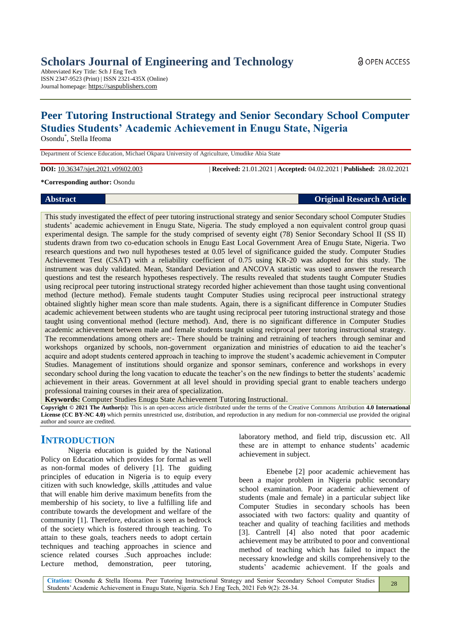# **Scholars Journal of Engineering and Technology**

Abbreviated Key Title: Sch J Eng Tech ISSN 2347-9523 (Print) | ISSN 2321-435X (Online) Journal homepage: https://saspublishers.com

# **Peer Tutoring Instructional Strategy and Senior Secondary School Computer Studies Students' Academic Achievement in Enugu State, Nigeria**

Osondu\* , Stella Ifeoma

Department of Science Education, Michael Okpara University of Agriculture, Umudike Abia State

**DOI:** 10.36347/sjet.2021.v09i02.003 | **Received:** 21.01.2021 | **Accepted:** 04.02.2021 | **Published:** 28.02.2021

**\*Corresponding author:** Osondu

# **Abstract Original Research Article**

This study investigated the effect of peer tutoring instructional strategy and senior Secondary school Computer Studies students' academic achievement in Enugu State, Nigeria. The study employed a non equivalent control group quasi experimental design. The sample for the study comprised of seventy eight (78) Senior Secondary School II (SS II) students drawn from two co-education schools in Enugu East Local Government Area of Enugu State, Nigeria. Two research questions and two null hypotheses tested at 0.05 level of significance guided the study. Computer Studies Achievement Test (CSAT) with a reliability coefficient of 0.75 using KR-20 was adopted for this study. The instrument was duly validated. Mean, Standard Deviation and ANCOVA statistic was used to answer the research questions and test the research hypotheses respectively. The results revealed that students taught Computer Studies using reciprocal peer tutoring instructional strategy recorded higher achievement than those taught using conventional method (lecture method). Female students taught Computer Studies using reciprocal peer instructional strategy obtained slightly higher mean score than male students. Again, there is a significant difference in Computer Studies academic achievement between students who are taught using reciprocal peer tutoring instructional strategy and those taught using conventional method (lecture method). And, there is no significant difference in Computer Studies academic achievement between male and female students taught using reciprocal peer tutoring instructional strategy. The recommendations among others are:- There should be training and retraining of teachers through seminar and workshops organized by schools, non-government organization and ministries of education to aid the teacher's acquire and adopt students centered approach in teaching to improve the student's academic achievement in Computer Studies. Management of institutions should organize and sponsor seminars, conference and workshops in every secondary school during the long vacation to educate the teacher's on the new findings to better the students' academic achievement in their areas. Government at all level should in providing special grant to enable teachers undergo professional training courses in their area of specialization.

**Keywords:** Computer Studies Enugu State Achievement Tutoring Instructional.

**Copyright © 2021 The Author(s):** This is an open-access article distributed under the terms of the Creative Commons Attribution **4.0 International License (CC BY-NC 4.0)** which permits unrestricted use, distribution, and reproduction in any medium for non-commercial use provided the original author and source are credited.

# **INTRODUCTION**

Nigeria education is guided by the National Policy on Education which provides for formal as well as non-formal modes of delivery [1]. The guiding principles of education in Nigeria is to equip every citizen with such knowledge, skills ,attitudes and value that will enable him derive maximum benefits from the membership of his society, to live a fulfilling life and contribute towards the development and welfare of the community [1]. Therefore, education is seen as bedrock of the society which is fostered through teaching. To attain to these goals, teachers needs to adopt certain techniques and teaching approaches in science and science related courses .Such approaches include: Lecture method, demonstration, peer tutoring,

laboratory method, and field trip, discussion etc. All these are in attempt to enhance students' academic achievement in subject.

Ebenebe [2] poor academic achievement has been a major problem in Nigeria public secondary school examination. Poor academic achievement of students (male and female) in a particular subject like Computer Studies in secondary schools has been associated with two factors: quality and quantity of teacher and quality of teaching facilities and methods [3]. Cantrell [4] also noted that poor academic achievement may be attributed to poor and conventional method of teaching which has failed to impact the necessary knowledge and skills comprehensively to the students' academic achievement. If the goals and

**Citation:** Osondu & Stella Ifeoma. Peer Tutoring Instructional Strategy and Senior Secondary School Computer Studies Students' Academic Achievement in Enugu State, Nigeria. Sch J Eng Tech, 2021 Feb 9(2): 28-34. 28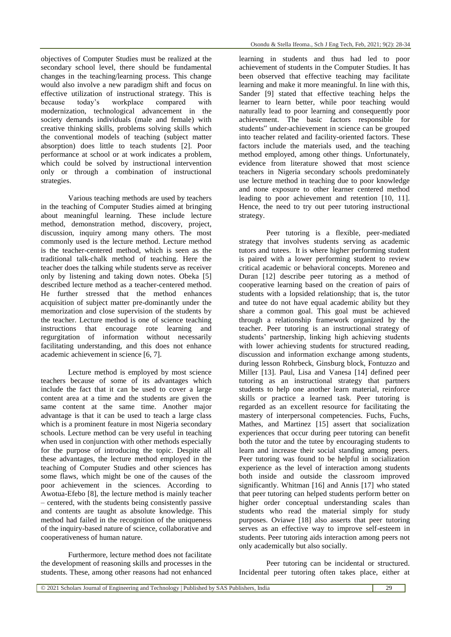objectives of Computer Studies must be realized at the secondary school level, there should be fundamental changes in the teaching/learning process. This change would also involve a new paradigm shift and focus on effective utilization of instructional strategy. This is because today's workplace compared with modernization, technological advancement in the society demands individuals (male and female) with creative thinking skills, problems solving skills which the conventional models of teaching (subject matter absorption) does little to teach students [2]. Poor performance at school or at work indicates a problem, which could be solved by instructional intervention only or through a combination of instructional strategies.

Various teaching methods are used by teachers in the teaching of Computer Studies aimed at bringing about meaningful learning. These include lecture method, demonstration method, discovery, project, discussion, inquiry among many others. The most commonly used is the lecture method. Lecture method is the teacher-centered method, which is seen as the traditional talk-chalk method of teaching. Here the teacher does the talking while students serve as receiver only by listening and taking down notes. Obeka [5] described lecture method as a teacher-centered method. He further stressed that the method enhances acquisition of subject matter pre-dominantly under the memorization and close supervision of the students by the teacher. Lecture method is one of science teaching instructions that encourage rote learning and regurgitation of information without necessarily facilitating understanding, and this does not enhance academic achievement in science [6, 7].

Lecture method is employed by most science teachers because of some of its advantages which include the fact that it can be used to cover a large content area at a time and the students are given the same content at the same time. Another major advantage is that it can be used to teach a large class which is a prominent feature in most Nigeria secondary schools. Lecture method can be very useful in teaching when used in conjunction with other methods especially for the purpose of introducing the topic. Despite all these advantages, the lecture method employed in the teaching of Computer Studies and other sciences has some flaws, which might be one of the causes of the poor achievement in the sciences. According to Awotua-Efebo [8], the lecture method is mainly teacher – centered, with the students being consistently passive and contents are taught as absolute knowledge. This method had failed in the recognition of the uniqueness of the inquiry-based nature of science, collaborative and cooperativeness of human nature.

Furthermore, lecture method does not facilitate the development of reasoning skills and processes in the students. These, among other reasons had not enhanced

learning in students and thus had led to poor achievement of students in the Computer Studies. It has been observed that effective teaching may facilitate learning and make it more meaningful. In line with this, Sander [9] stated that effective teaching helps the learner to learn better, while poor teaching would naturally lead to poor learning and consequently poor achievement. The basic factors responsible for students" under-achievement in science can be grouped into teacher related and facility-oriented factors. These factors include the materials used, and the teaching method employed, among other things. Unfortunately, evidence from literature showed that most science teachers in Nigeria secondary schools predominately use lecture method in teaching due to poor knowledge and none exposure to other learner centered method leading to poor achievement and retention [10, 11]. Hence, the need to try out peer tutoring instructional strategy.

Peer tutoring is a flexible, peer-mediated strategy that involves students serving as academic tutors and tutees. It is where higher performing student is paired with a lower performing student to review critical academic or behavioral concepts. Moreneo and Duran [12] describe peer tutoring as a method of cooperative learning based on the creation of pairs of students with a lopsided relationship; that is, the tutor and tutee do not have equal academic ability but they share a common goal. This goal must be achieved through a relationship framework organized by the teacher. Peer tutoring is an instructional strategy of students' partnership, linking high achieving students with lower achieving students for structured reading. discussion and information exchange among students, during lesson Rohrbeck, Ginsburg block, Fontuzzo and Miller [13]. Paul, Lisa and Vanesa [14] defined peer tutoring as an instructional strategy that partners students to help one another learn material, reinforce skills or practice a learned task. Peer tutoring is regarded as an excellent resource for facilitating the mastery of interpersonal competencies. Fuchs, Fuchs, Mathes, and Martinez [15] assert that socialization experiences that occur during peer tutoring can benefit both the tutor and the tutee by encouraging students to learn and increase their social standing among peers. Peer tutoring was found to be helpful in socialization experience as the level of interaction among students both inside and outside the classroom improved significantly. Whitman [16] and Annis [17] who stated that peer tutoring can helped students perform better on higher order conceptual understanding scales than students who read the material simply for study purposes. Oviawe [18] also asserts that peer tutoring serves as an effective way to improve self-esteem in students. Peer tutoring aids interaction among peers not only academically but also socially.

Peer tutoring can be incidental or structured. Incidental peer tutoring often takes place, either at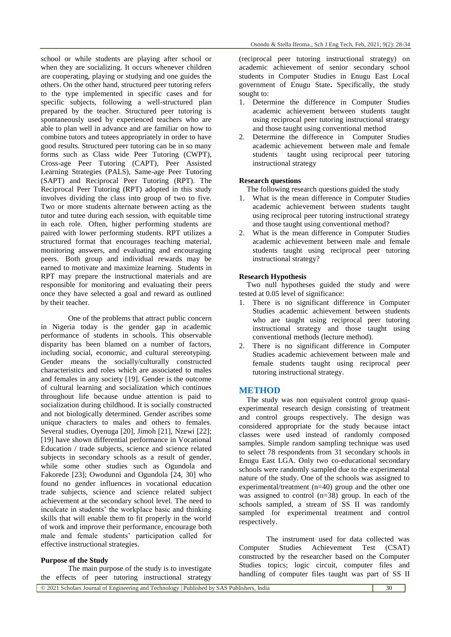school or while students are playing after school or when they are socializing. It occurs whenever children are cooperating, playing or studying and one guides the others. On the other hand, structured peer tutoring refers to the type implemented in specific cases and for specific subjects, following a well-structured plan prepared by the teacher. Structured peer tutoring is spontaneously used by experienced teachers who are able to plan well in advance and are familiar on how to combine tutors and tutees appropriately in order to have good results. Structured peer tutoring can be in so many forms such as Class wide Peer Tutoring (CWPT), Cross-age Peer Tutoring (CAPT), Peer Assisted Learning Strategies (PALS), Same-age Peer Tutoring (SAPT) and Reciprocal Peer Tutoring (RPT). The Reciprocal Peer Tutoring (RPT) adopted in this study involves dividing the class into group of two to five. Two or more students alternate between acting as the tutor and tutee during each session, with equitable time in each role. Often, higher performing students are paired with lower performing students. RPT utilizes a structured format that encourages teaching material, monitoring answers, and evaluating and encouraging peers. Both group and individual rewards may be earned to motivate and maximize learning. Students in RPT may prepare the instructional materials and are responsible for monitoring and evaluating their peers once they have selected a goal and reward as outlined by their teacher.

One of the problems that attract public concern in Nigeria today is the gender gap in academic performance of students in schools. This observable disparity has been blamed on a number of factors, including social, economic, and cultural stereotyping. Gender means the socially/culturally constructed characteristics and roles which are associated to males and females in any society [19]. Gender is the outcome of cultural learning and socialization which continues throughout life because undue attention is paid to socialization during childhood. It is socially constructed and not biologically determined. Gender ascribes some unique characters to males and others to females. Several studies, Oyenuga [20], Jimoh [21], Nzewi [22]; [19] have shown differential performance in Vocational Education / trade subjects, science and science related subjects in secondary schools as a result of gender, while some other studies such as Ogundola and Fakorede [23]; Owodunni and Ogundola [24, 30] who found no gender influences in vocational education trade subjects, science and science related subject achievement at the secondary school level. The need to inculcate in students' the workplace basic and thinking skills that will enable them to fit properly in the world of work and improve their performance, encourage both male and female students' participation called for effective instructional strategies.

#### **Purpose of the Study**

The main purpose of the study is to investigate the effects of peer tutoring instructional strategy

(reciprocal peer tutoring instructional strategy) on academic achievement of senior secondary school students in Computer Studies in Enugu East Local government of Enugu State**.** Specifically, the study sought to:

- 1. Determine the difference in Computer Studies academic achievement between students taught using reciprocal peer tutoring instructional strategy and those taught using conventional method
- 2. Determine the difference in Computer Studies academic achievement between male and female students taught using reciprocal peer tutoring instructional strategy

#### **Research questions**

The following research questions guided the study

- 1. What is the mean difference in Computer Studies academic achievement between students taught using reciprocal peer tutoring instructional strategy and those taught using conventional method?
- 2. What is the mean difference in Computer Studies academic achievement between male and female students taught using reciprocal peer tutoring instructional strategy?

#### **Research Hypothesis**

Two null hypotheses guided the study and were tested at 0.05 level of significance:

- 1. There is no significant difference in Computer Studies academic achievement between students who are taught using reciprocal peer tutoring instructional strategy and those taught using conventional methods (lecture method).
- 2. There is no significant difference in Computer Studies academic achievement between male and female students taught using reciprocal peer tutoring instructional strategy.

#### **METHOD**

The study was non equivalent control group quasiexperimental research design consisting of treatment and control groups respectively. The design was considered appropriate for the study because intact classes were used instead of randomly composed samples. Simple random sampling technique was used to select 78 respondents from 31 secondary schools in Enugu East LGA. Only two co-educational secondary schools were randomly sampled due to the experimental nature of the study. One of the schools was assigned to experimental/treatment (n=40) group and the other one was assigned to control (n=38) group. In each of the schools sampled, a stream of SS II was randomly sampled for experimental treatment and control respectively.

The instrument used for data collected was Computer Studies Achievement Test (CSAT) constructed by the researcher based on the Computer Studies topics; logic circuit, computer files and handling of computer files taught was part of SS II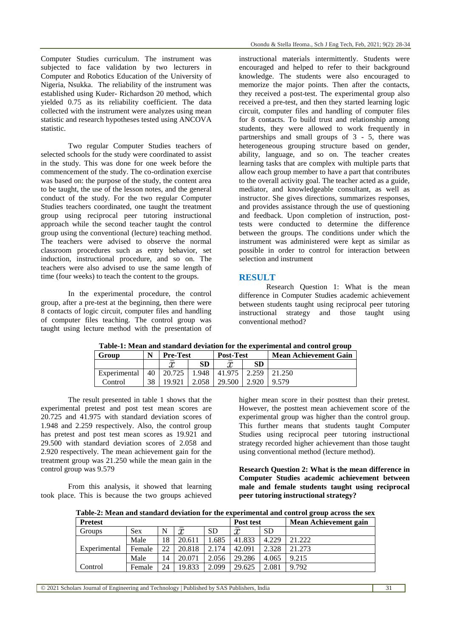Computer Studies curriculum. The instrument was subjected to face validation by two lecturers in Computer and Robotics Education of the University of Nigeria, Nsukka. The reliability of the instrument was established using Kuder- Richardson 20 method, which yielded 0.75 as its reliability coefficient. The data collected with the instrument were analyzes using mean statistic and research hypotheses tested using ANCOVA statistic.

Two regular Computer Studies teachers of selected schools for the study were coordinated to assist in the study. This was done for one week before the commencement of the study. The co-ordination exercise was based on: the purpose of the study, the content area to be taught, the use of the lesson notes, and the general conduct of the study. For the two regular Computer Studies teachers coordinated, one taught the treatment group using reciprocal peer tutoring instructional approach while the second teacher taught the control group using the conventional (lecture) teaching method. The teachers were advised to observe the normal classroom procedures such as entry behavior, set induction, instructional procedure, and so on. The teachers were also advised to use the same length of time (four weeks) to teach the content to the groups.

In the experimental procedure, the control group, after a pre-test at the beginning, then there were 8 contacts of logic circuit, computer files and handling of computer files teaching. The control group was taught using lecture method with the presentation of

instructional materials intermittently. Students were encouraged and helped to refer to their background knowledge. The students were also encouraged to memorize the major points. Then after the contacts, they received a post-test. The experimental group also received a pre-test, and then they started learning logic circuit, computer files and handling of computer files for 8 contacts. To build trust and relationship among students, they were allowed to work frequently in partnerships and small groups of 3 - 5, there was heterogeneous grouping structure based on gender, ability, language, and so on. The teacher creates learning tasks that are complex with multiple parts that allow each group member to have a part that contributes to the overall activity goal. The teacher acted as a guide, mediator, and knowledgeable consultant, as well as instructor. She gives directions, summarizes responses, and provides assistance through the use of questioning and feedback. Upon completion of instruction, posttests were conducted to determine the difference between the groups. The conditions under which the instrument was administered were kept as similar as possible in order to control for interaction between selection and instrument

## **RESULT**

Research Question 1: What is the mean difference in Computer Studies academic achievement between students taught using reciprocal peer tutoring instructional strategy and those taught using conventional method?

| Group        |    | <b>Pre-Test</b> |           | <b>Post-Test</b> |       | <b>Mean Achievement Gain</b> |
|--------------|----|-----------------|-----------|------------------|-------|------------------------------|
|              |    |                 | <b>SD</b> |                  | SD    |                              |
| Experimental | 40 | 20.725          | .948      | 41.975           | 2.259 | 21.250                       |
| Control      | 38 | 19.921          | 2.058     | 29.500           | 2.920 | 9.579                        |

**Table-1: Mean and standard deviation for the experimental and control group**

The result presented in table 1 shows that the experimental pretest and post test mean scores are 20.725 and 41.975 with standard deviation scores of 1.948 and 2.259 respectively. Also, the control group has pretest and post test mean scores as 19.921 and 29.500 with standard deviation scores of 2.058 and 2.920 respectively. The mean achievement gain for the treatment group was 21.250 while the mean gain in the control group was 9.579

From this analysis, it showed that learning took place. This is because the two groups achieved higher mean score in their posttest than their pretest. However, the posttest mean achievement score of the experimental group was higher than the control group. This further means that students taught Computer Studies using reciprocal peer tutoring instructional strategy recorded higher achievement than those taught using conventional method (lecture method).

**Research Question 2: What is the mean difference in Computer Studies academic achievement between male and female students taught using reciprocal peer tutoring instructional strategy?**

**Table-2: Mean and standard deviation for the experimental and control group across the sex**

| <b>Pretest</b> |            |    |        |           | Post test |           | <b>Mean Achievement gain</b> |
|----------------|------------|----|--------|-----------|-----------|-----------|------------------------------|
| Groups         | <b>Sex</b> | N  | x      | <b>SD</b> | x         | <b>SD</b> |                              |
|                | Male       | 18 | 20.611 | .685      | 41.833    | 4.229     | 21.222                       |
| Experimental   | Female     | 22 | 20.818 | 2.174     | 42.091    | 2.328     | 21.273                       |
|                | Male       | 14 | 20.071 | 2.056     | 29.286    | 4.065     | 9.215                        |
| Control        | Female     | 24 | 19.833 | 2.099     | 29.625    | 2.081     | 9.792                        |

© 2021 Scholars Journal of Engineering and Technology | Published by SAS Publishers, India 31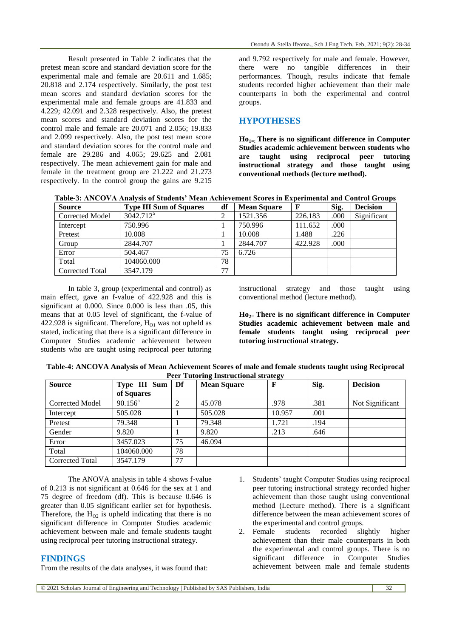Result presented in Table 2 indicates that the pretest mean score and standard deviation score for the experimental male and female are 20.611 and 1.685; 20.818 and 2.174 respectively. Similarly, the post test mean scores and standard deviation scores for the experimental male and female groups are 41.833 and 4.229; 42.091 and 2.328 respectively. Also, the pretest mean scores and standard deviation scores for the control male and female are 20.071 and 2.056; 19.833 and 2.099 respectively. Also, the post test mean score and standard deviation scores for the control male and female are 29.286 and 4.065; 29.625 and 2.081 respectively. The mean achievement gain for male and female in the treatment group are 21.222 and 21.273 respectively. In the control group the gains are 9.215

and 9.792 respectively for male and female. However, there were no tangible differences in their performances. Though, results indicate that female students recorded higher achievement than their male counterparts in both the experimental and control groups.

#### **HYPOTHESES**

**Ho1=: There is no significant difference in Computer Studies academic achievement between students who are taught using reciprocal peer tutoring instructional strategy and those taught using conventional methods (lecture method).**

**Table-3: ANCOVA Analysis of Students' Mean Achievement Scores in Experimental and Control Groups**

| <b>Source</b>          | <b>Type III Sum of Squares</b> | df | <b>Mean Square</b> |         | Sig. | <b>Decision</b> |
|------------------------|--------------------------------|----|--------------------|---------|------|-----------------|
| <b>Corrected Model</b> | $3042.712^a$                   | റ  | 1521.356           | 226.183 | .000 | Significant     |
| Intercept              | 750.996                        |    | 750.996            | 111.652 | .000 |                 |
| Pretest                | 10.008                         |    | 10.008             | 1.488   | .226 |                 |
| Group                  | 2844.707                       |    | 2844.707           | 422.928 | .000 |                 |
| Error                  | 504.467                        | 75 | 6.726              |         |      |                 |
| Total                  | 104060.000                     | 78 |                    |         |      |                 |
| Corrected Total        | 3547.179                       | 77 |                    |         |      |                 |

In table 3, group (experimental and control) as main effect, gave an f-value of 422.928 and this is significant at 0.000. Since 0.000 is less than .05, this means that at 0.05 level of significant, the f-value of 422.928 is significant. Therefore,  $H<sub>O1</sub>$  was not upheld as stated, indicating that there is a significant difference in Computer Studies academic achievement between students who are taught using reciprocal peer tutoring instructional strategy and those taught using conventional method (lecture method).

**Ho2= There is no significant difference in Computer Studies academic achievement between male and female students taught using reciprocal peer tutoring instructional strategy.**

| Table-4: ANCOVA Analysis of Mean Achievement Scores of male and female students taught using Reciprocal |  |
|---------------------------------------------------------------------------------------------------------|--|
| <b>Peer Tutoring Instructional strategy</b>                                                             |  |

| <b>Source</b>   | Type III Sum     | Df | <b>Mean Square</b> |        | Sig. | <b>Decision</b> |
|-----------------|------------------|----|--------------------|--------|------|-----------------|
|                 | of Squares       |    |                    |        |      |                 |
| Corrected Model | $90.156^{\circ}$ |    | 45.078             | .978   | .381 | Not Significant |
| Intercept       | 505.028          |    | 505.028            | 10.957 | .001 |                 |
| Pretest         | 79.348           |    | 79.348             | 1.721  | .194 |                 |
| Gender          | 9.820            |    | 9.820              | .213   | .646 |                 |
| Error           | 3457.023         | 75 | 46.094             |        |      |                 |
| Total           | 104060.000       | 78 |                    |        |      |                 |
| Corrected Total | 3547.179         | 77 |                    |        |      |                 |

The ANOVA analysis in table 4 shows f-value of 0.213 is not significant at 0.646 for the sex at 1 and 75 degree of freedom (df). This is because 0.646 is greater than 0.05 significant earlier set for hypothesis. Therefore, the  $H_{02}$  is upheld indicating that there is no significant difference in Computer Studies academic achievement between male and female students taught using reciprocal peer tutoring instructional strategy.

## **FINDINGS**

From the results of the data analyses, it was found that:

- 1. Students' taught Computer Studies using reciprocal peer tutoring instructional strategy recorded higher achievement than those taught using conventional method (Lecture method). There is a significant difference between the mean achievement scores of the experimental and control groups.
- 2. Female students recorded slightly higher achievement than their male counterparts in both the experimental and control groups. There is no significant difference in Computer Studies achievement between male and female students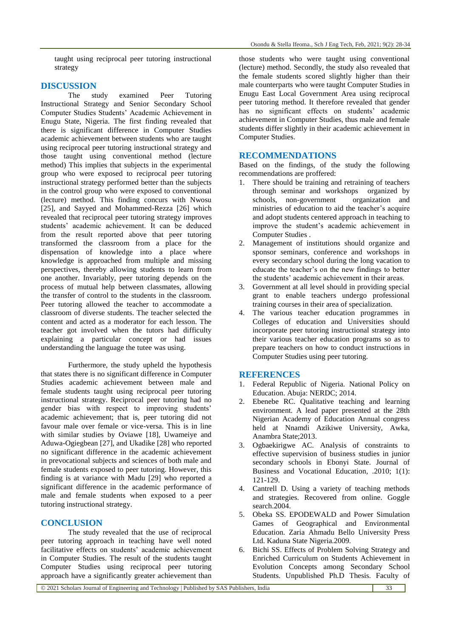taught using reciprocal peer tutoring instructional strategy

### **DISCUSSION**

The study examined Peer Tutoring Instructional Strategy and Senior Secondary School Computer Studies Students' Academic Achievement in Enugu State, Nigeria. The first finding revealed that there is significant difference in Computer Studies academic achievement between students who are taught using reciprocal peer tutoring instructional strategy and those taught using conventional method (lecture method) This implies that subjects in the experimental group who were exposed to reciprocal peer tutoring instructional strategy performed better than the subjects in the control group who were exposed to conventional (lecture) method. This finding concurs with Nwosu [25], and Sayyed and Mohammed-Rezza [26] which revealed that reciprocal peer tutoring strategy improves students' academic achievement. It can be deduced from the result reported above that peer tutoring transformed the classroom from a place for the dispensation of knowledge into a place where knowledge is approached from multiple and missing perspectives, thereby allowing students to learn from one another. Invariably, peer tutoring depends on the process of mutual help between classmates, allowing the transfer of control to the students in the classroom. Peer tutoring allowed the teacher to accommodate a classroom of diverse students. The teacher selected the content and acted as a moderator for each lesson. The teacher got involved when the tutors had difficulty explaining a particular concept or had issues understanding the language the tutee was using.

Furthermore, the study upheld the hypothesis that states there is no significant difference in Computer Studies academic achievement between male and female students taught using reciprocal peer tutoring instructional strategy. Reciprocal peer tutoring had no gender bias with respect to improving students' academic achievement; that is, peer tutoring did not favour male over female or vice-versa. This is in line with similar studies by Oviawe [18], Uwameiye and Aduwa-Ogiegbean [27], and Ukadike [28] who reported no significant difference in the academic achievement in prevocational subjects and sciences of both male and female students exposed to peer tutoring. However, this finding is at variance with Madu [29] who reported a significant difference in the academic performance of male and female students when exposed to a peer tutoring instructional strategy.

## **CONCLUSION**

The study revealed that the use of reciprocal peer tutoring approach in teaching have well noted facilitative effects on students' academic achievement in Computer Studies. The result of the students taught Computer Studies using reciprocal peer tutoring approach have a significantly greater achievement than

those students who were taught using conventional (lecture) method. Secondly, the study also revealed that the female students scored slightly higher than their male counterparts who were taught Computer Studies in Enugu East Local Government Area using reciprocal peer tutoring method. It therefore revealed that gender has no significant effects on students' academic achievement in Computer Studies, thus male and female students differ slightly in their academic achievement in Computer Studies.

### **RECOMMENDATIONS**

Based on the findings, of the study the following recommendations are proffered:

- 1. There should be training and retraining of teachers through seminar and workshops organized by schools, non-government organization and ministries of education to aid the teacher's acquire and adopt students centered approach in teaching to improve the student's academic achievement in Computer Studies .
- 2. Management of institutions should organize and sponsor seminars, conference and workshops in every secondary school during the long vacation to educate the teacher's on the new findings to better the students' academic achievement in their areas.
- 3. Government at all level should in providing special grant to enable teachers undergo professional training courses in their area of specialization.
- 4. The various teacher education programmes in Colleges of education and Universities should incorporate peer tutoring instructional strategy into their various teacher education programs so as to prepare teachers on how to conduct instructions in Computer Studies using peer tutoring.

## **REFERENCES**

- 1. Federal Republic of Nigeria. National Policy on Education. Abuja: NERDC; 2014.
- 2. Ebenebe RC. Qualitative teaching and learning environment. A lead paper presented at the 28th Nigerian Academy of Education Annual congress held at Nnamdi Azikiwe University, Awka, Anambra State;2013.
- 3. Ogbaekirigwe AC. Analysis of constraints to effective supervision of business studies in junior secondary schools in Ebonyi State. Journal of Business and Vocational Education, .2010; 1(1): 121-129.
- 4. Cantrell D. Using a variety of teaching methods and strategies. Recovered from online. Goggle search.2004.
- 5. Obeka SS. EPODEWALD and Power Simulation Games of Geographical and Environmental Education. Zaria Ahmadu Bello University Press Ltd. Kaduna State Nigeria.2009.
- 6. Bichi SS. Effects of Problem Solving Strategy and Enriched Curriculum on Students Achievement in Evolution Concepts among Secondary School Students. Unpublished Ph.D Thesis. Faculty of

© 2021 Scholars Journal of Engineering and Technology | Published by SAS Publishers, India 33